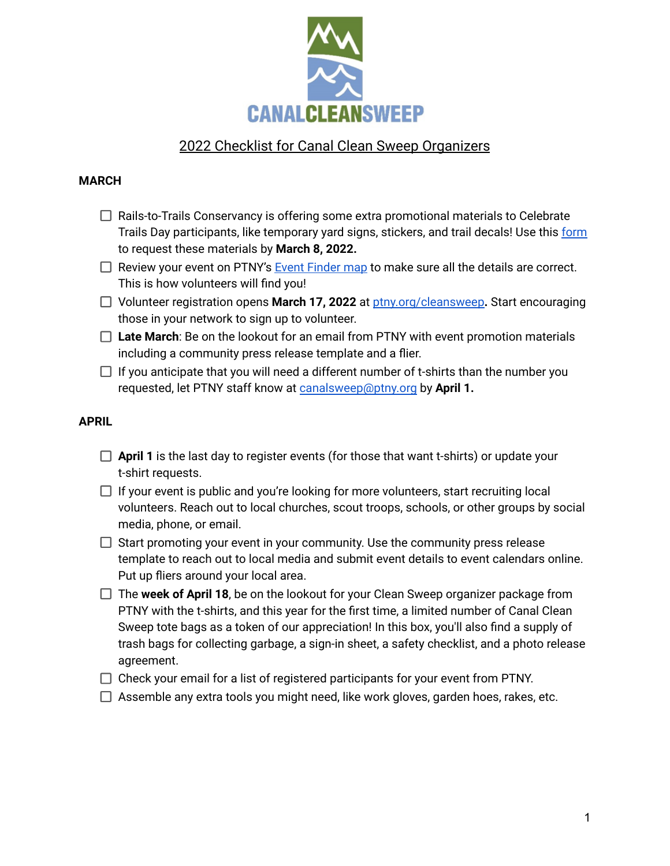

# 2022 Checklist for Canal Clean Sweep Organizers

#### **MARCH**

- $\Box$  Rails-to-Trails Conservancy is offering some extra promotional materials to Celebrate Trails Day participants, like temporary yard signs, stickers, and trail decals! Use this [form](https://docs.google.com/forms/d/e/1FAIpQLSfxkosvwyIPfd3fEtw-lwvXtpzIU8x7mmoNA50kPQSA97UQeQ/viewform) to request these materials by **March 8, 2022.**
- $\Box$  Review your event on PTNY's Event [Finder](http://ptny.org/cleansweep) map to make sure all the details are correct. This is how volunteers will find you!
- Volunteer registration opens **March 17, 2022** at [ptny.org/cleansweep](https://www.ptny.org/events/canal-clean-sweep)**.** Start encouraging those in your network to sign up to volunteer.
- □ Late March: Be on the lookout for an email from PTNY with event promotion materials including a community press release template and a flier.
- $\Box$  If you anticipate that you will need a different number of t-shirts than the number you requested, let PTNY staff know at [canalsweep@ptny.org](mailto:canalsweep@ptny.org) by **April 1.**

## **APRIL**

- **April 1** is the last day to register events (for those that want t-shirts) or update your t-shirt requests.
- $\Box$  If your event is public and you're looking for more volunteers, start recruiting local volunteers. Reach out to local churches, scout troops, schools, or other groups by social media, phone, or email.
- $\Box$  Start promoting your event in your community. Use the community press release template to reach out to local media and submit event details to event calendars online. Put up fliers around your local area.
- The **week of April 18**, be on the lookout for your Clean Sweep organizer package from PTNY with the t-shirts, and this year for the first time, a limited number of Canal Clean Sweep tote bags as a token of our appreciation! In this box, you'll also find a supply of trash bags for collecting garbage, a sign-in sheet, a safety checklist, and a photo release agreement.
- $\Box$  Check your email for a list of registered participants for your event from PTNY.
- $\Box$  Assemble any extra tools you might need, like work gloves, garden hoes, rakes, etc.